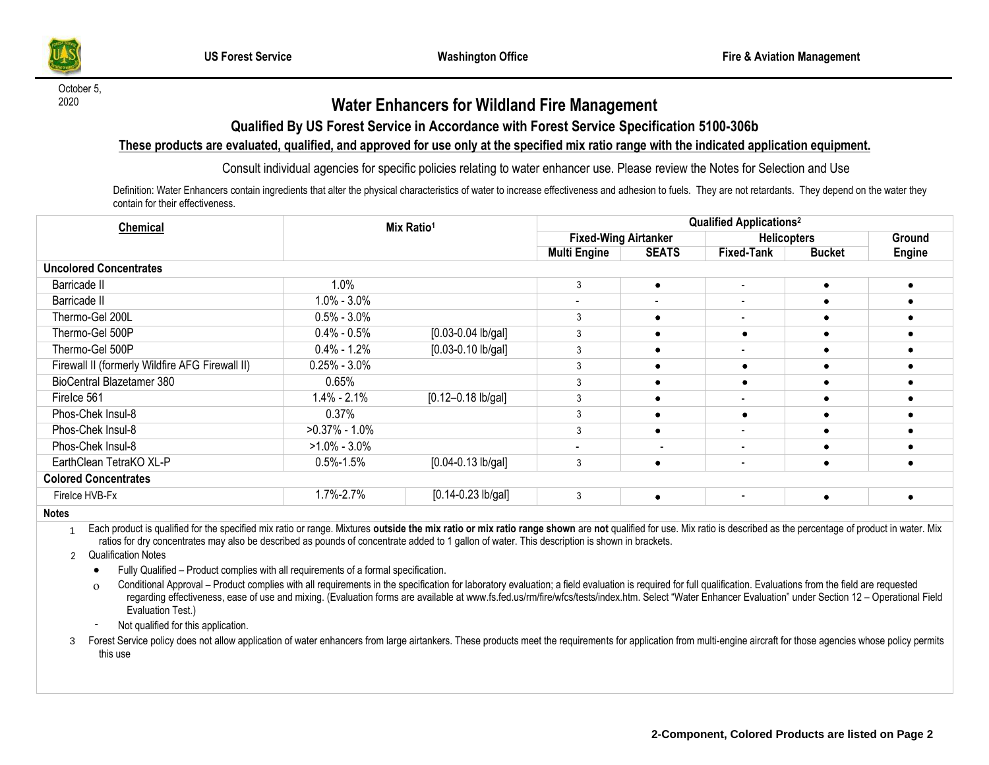

October 5,

## <sup>2020</sup> **Water Enhancers for Wildland Fire Management**

### **Qualified By US Forest Service in Accordance with Forest Service Specification 5100-306b**

#### **These products are evaluated, qualified, and approved for use only at the specified mix ratio range with the indicated application equipment.**

Consult individual agencies for specific policies relating to water enhancer use. Please review the Notes for Selection and Use

Definition: Water Enhancers contain ingredients that alter the physical characteristics of water to increase effectiveness and adhesion to fuels. They are not retardants. They depend on the water they contain for their effectiveness.

| Chemical                                        | Mix Ratio <sup>1</sup> |                         | <b>Qualified Applications<sup>2</sup></b> |              |                          |               |        |  |  |  |  |  |
|-------------------------------------------------|------------------------|-------------------------|-------------------------------------------|--------------|--------------------------|---------------|--------|--|--|--|--|--|
|                                                 |                        |                         | <b>Fixed-Wing Airtanker</b>               |              | <b>Helicopters</b>       |               | Ground |  |  |  |  |  |
|                                                 |                        |                         | <b>Multi Engine</b>                       | <b>SEATS</b> | <b>Fixed-Tank</b>        | <b>Bucket</b> | Engine |  |  |  |  |  |
| <b>Uncolored Concentrates</b>                   |                        |                         |                                           |              |                          |               |        |  |  |  |  |  |
| Barricade II                                    | 1.0%                   |                         | 3                                         | $\bullet$    | $\sim$                   |               |        |  |  |  |  |  |
| Barricade II                                    | $1.0\% - 3.0\%$        |                         |                                           | $\,$ $\,$    | $\overline{\phantom{a}}$ |               |        |  |  |  |  |  |
| Thermo-Gel 200L                                 | $0.5\% - 3.0\%$        |                         |                                           |              | $\blacksquare$           |               |        |  |  |  |  |  |
| Thermo-Gel 500P                                 | $0.4\% - 0.5\%$        | $[0.03 - 0.04]$ lb/gal] |                                           |              | ٠                        |               |        |  |  |  |  |  |
| Thermo-Gel 500P                                 | $0.4\% - 1.2\%$        | $[0.03 - 0.10$ lb/gal]  | 3                                         |              | $\blacksquare$           |               |        |  |  |  |  |  |
| Firewall II (formerly Wildfire AFG Firewall II) | $0.25\% - 3.0\%$       |                         | 3                                         |              | ٠                        |               |        |  |  |  |  |  |
| BioCentral Blazetamer 380                       | 0.65%                  |                         | 3                                         |              | $\bullet$                |               |        |  |  |  |  |  |
| Firelce 561                                     | 1.4% - 2.1%            | $[0.12 - 0.18$ lb/gal]  | 3                                         |              | $\overline{\phantom{0}}$ |               |        |  |  |  |  |  |
| Phos-Chek Insul-8                               | 0.37%                  |                         | 3                                         |              | ٠                        |               |        |  |  |  |  |  |
| Phos-Chek Insul-8                               | $>0.37\% - 1.0\%$      |                         | 3                                         |              | $\overline{\phantom{a}}$ |               |        |  |  |  |  |  |
| Phos-Chek Insul-8                               | $>1.0\% - 3.0\%$       |                         |                                           |              | $\blacksquare$           |               |        |  |  |  |  |  |
| EarthClean TetraKO XL-P                         | $0.5\% - 1.5\%$        | $[0.04 - 0.13$ lb/gal]  | 3                                         | ٠            | $\overline{\phantom{0}}$ | $\bullet$     |        |  |  |  |  |  |
| <b>Colored Concentrates</b>                     |                        |                         |                                           |              |                          |               |        |  |  |  |  |  |
| Firelce HVB-Fx                                  | 1.7%-2.7%              | $[0.14 - 0.23$ lb/gal]  | 3                                         | $\bullet$    | $\overline{\phantom{a}}$ | $\bullet$     |        |  |  |  |  |  |
| $\mathbf{r}$                                    |                        |                         |                                           |              |                          |               |        |  |  |  |  |  |

**Notes**

1 Each product is qualified for the specified mix ratio or range. Mixtures outside the mix ratio or mix ratio range shown are not qualified for use. Mix ratio is described as the percentage of product in water. Mix ratios for dry concentrates may also be described as pounds of concentrate added to 1 gallon of water. This description is shown in brackets.

2 Qualification Notes

• Fully Qualified – Product complies with all requirements of a formal specification.

Conditional Approval – Product complies with all requirements in the specification for laboratory evaluation; a field evaluation is required for full qualification. Evaluations from the field are requested regarding effectiveness, ease of use and mixing. (Evaluation forms are available at [www.fs.fed.us/rm/fire/wfcs/tests/index.htm.](http://www.fs.fed.us/rm/fire/wfcs/tests/index.htm) Select "Water Enhancer Evaluation" under Section 12 – Operational Field Evaluation Test.)

Not qualified for this application.

3 Forest Service policy does not allow application of water enhancers from large airtankers. These products meet the requirements for application from multi-engine aircraft for those agencies whose policy permits this use